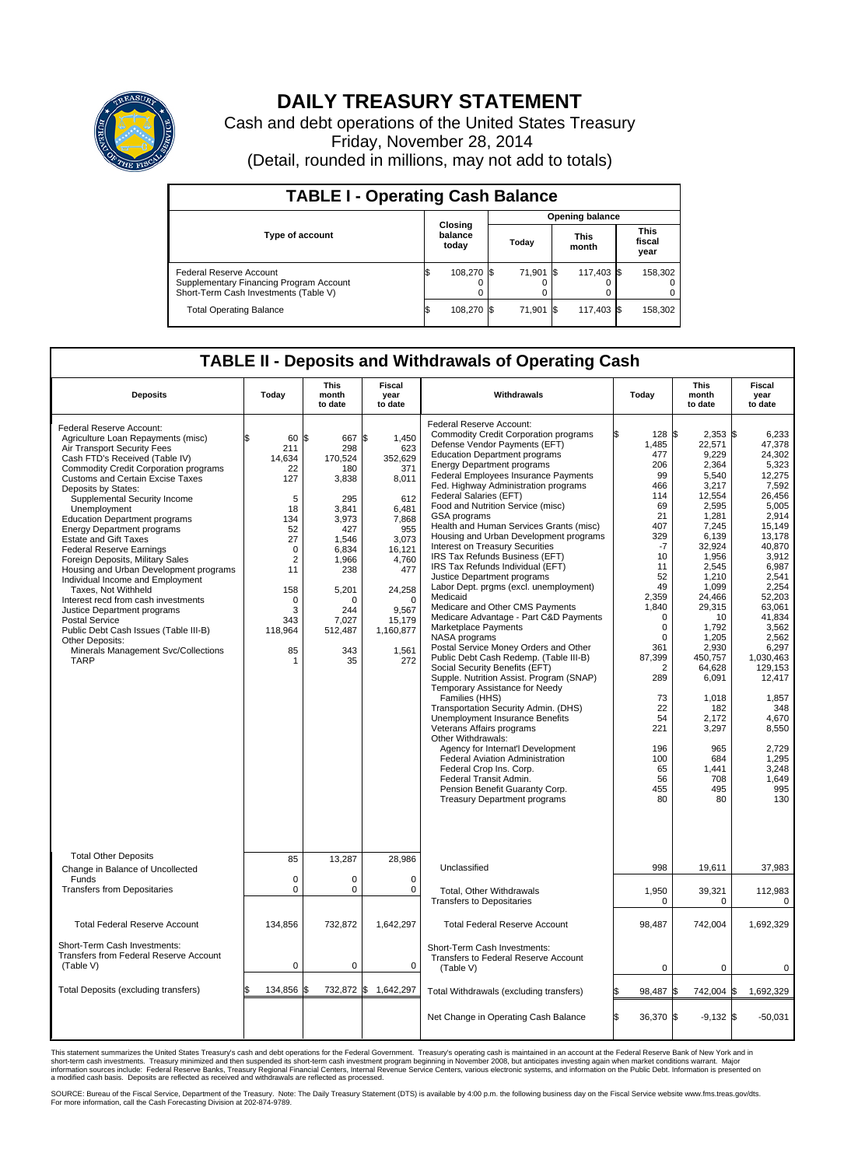

## **DAILY TREASURY STATEMENT**

Cash and debt operations of the United States Treasury Friday, November 28, 2014 (Detail, rounded in millions, may not add to totals)

| <b>TABLE I - Operating Cash Balance</b>                                                                     |  |                             |       |           |  |                      |  |                               |  |  |  |  |
|-------------------------------------------------------------------------------------------------------------|--|-----------------------------|-------|-----------|--|----------------------|--|-------------------------------|--|--|--|--|
| <b>Opening balance</b>                                                                                      |  |                             |       |           |  |                      |  |                               |  |  |  |  |
| <b>Type of account</b>                                                                                      |  | Closing<br>balance<br>today | Today |           |  | <b>This</b><br>month |  | <b>This</b><br>fiscal<br>year |  |  |  |  |
| Federal Reserve Account<br>Supplementary Financing Program Account<br>Short-Term Cash Investments (Table V) |  | 108,270 \$                  |       | 71.901 \$ |  | 117,403 \$           |  | 158,302                       |  |  |  |  |
| <b>Total Operating Balance</b>                                                                              |  | 108,270 \$                  |       | 71,901 \$ |  | 117,403 \$           |  | 158,302                       |  |  |  |  |

## **TABLE II - Deposits and Withdrawals of Operating Cash**

| <b>Deposits</b>                                                                                                                                                                                                                                                                                                                                                                                                                                                                                                                                                                                                                                                                                                                                                                                      | Today                                                                                                                                                            | <b>This</b><br>month<br>to date                                                                                                                                                | <b>Fiscal</b><br>year<br>to date                                                                                                                                                 | Withdrawals                                                                                                                                                                                                                                                                                                                                                                                                                                                                                                                                                                                                                                                                                                                                                                                                                                                                                                                                                                                                                                                                                                                                                                                                                                                                                                                    |     | Today                                                                                                                                                                                                                                                                             | This<br>month<br>to date                                                                                                                                                                                                                                                                                             | Fiscal<br>year<br>to date                                                                                                                                                                                                                                                                                                          |
|------------------------------------------------------------------------------------------------------------------------------------------------------------------------------------------------------------------------------------------------------------------------------------------------------------------------------------------------------------------------------------------------------------------------------------------------------------------------------------------------------------------------------------------------------------------------------------------------------------------------------------------------------------------------------------------------------------------------------------------------------------------------------------------------------|------------------------------------------------------------------------------------------------------------------------------------------------------------------|--------------------------------------------------------------------------------------------------------------------------------------------------------------------------------|----------------------------------------------------------------------------------------------------------------------------------------------------------------------------------|--------------------------------------------------------------------------------------------------------------------------------------------------------------------------------------------------------------------------------------------------------------------------------------------------------------------------------------------------------------------------------------------------------------------------------------------------------------------------------------------------------------------------------------------------------------------------------------------------------------------------------------------------------------------------------------------------------------------------------------------------------------------------------------------------------------------------------------------------------------------------------------------------------------------------------------------------------------------------------------------------------------------------------------------------------------------------------------------------------------------------------------------------------------------------------------------------------------------------------------------------------------------------------------------------------------------------------|-----|-----------------------------------------------------------------------------------------------------------------------------------------------------------------------------------------------------------------------------------------------------------------------------------|----------------------------------------------------------------------------------------------------------------------------------------------------------------------------------------------------------------------------------------------------------------------------------------------------------------------|------------------------------------------------------------------------------------------------------------------------------------------------------------------------------------------------------------------------------------------------------------------------------------------------------------------------------------|
| Federal Reserve Account:<br>Agriculture Loan Repayments (misc)<br>Air Transport Security Fees<br>Cash FTD's Received (Table IV)<br>Commodity Credit Corporation programs<br><b>Customs and Certain Excise Taxes</b><br>Deposits by States:<br>Supplemental Security Income<br>Unemployment<br><b>Education Department programs</b><br><b>Energy Department programs</b><br><b>Estate and Gift Taxes</b><br><b>Federal Reserve Earnings</b><br>Foreign Deposits, Military Sales<br>Housing and Urban Development programs<br>Individual Income and Employment<br>Taxes. Not Withheld<br>Interest recd from cash investments<br>Justice Department programs<br><b>Postal Service</b><br>Public Debt Cash Issues (Table III-B)<br>Other Deposits:<br>Minerals Management Svc/Collections<br><b>TARP</b> | 60<br>\$<br>211<br>14,634<br>22<br>127<br>5<br>18<br>134<br>52<br>27<br>$\Omega$<br>$\overline{2}$<br>11<br>158<br>$\mathbf 0$<br>3<br>343<br>118,964<br>85<br>1 | l\$<br>667 \$<br>298<br>170,524<br>180<br>3,838<br>295<br>3.841<br>3,973<br>427<br>1,546<br>6.834<br>1,966<br>238<br>5,201<br>$\Omega$<br>244<br>7.027<br>512,487<br>343<br>35 | 1.450<br>623<br>352.629<br>371<br>8,011<br>612<br>6.481<br>7,868<br>955<br>3,073<br>16.121<br>4,760<br>477<br>24,258<br>$\Omega$<br>9,567<br>15,179<br>1,160,877<br>1,561<br>272 | Federal Reserve Account:<br><b>Commodity Credit Corporation programs</b><br>Defense Vendor Payments (EFT)<br><b>Education Department programs</b><br><b>Energy Department programs</b><br><b>Federal Employees Insurance Payments</b><br>Fed. Highway Administration programs<br>Federal Salaries (EFT)<br>Food and Nutrition Service (misc)<br>GSA programs<br>Health and Human Services Grants (misc)<br>Housing and Urban Development programs<br>Interest on Treasury Securities<br>IRS Tax Refunds Business (EFT)<br>IRS Tax Refunds Individual (EFT)<br>Justice Department programs<br>Labor Dept. prgms (excl. unemployment)<br>Medicaid<br>Medicare and Other CMS Payments<br>Medicare Advantage - Part C&D Payments<br>Marketplace Payments<br>NASA programs<br>Postal Service Money Orders and Other<br>Public Debt Cash Redemp. (Table III-B)<br>Social Security Benefits (EFT)<br>Supple. Nutrition Assist. Program (SNAP)<br>Temporary Assistance for Needy<br>Families (HHS)<br>Transportation Security Admin. (DHS)<br>Unemployment Insurance Benefits<br>Veterans Affairs programs<br>Other Withdrawals:<br>Agency for Internat'l Development<br>Federal Aviation Administration<br>Federal Crop Ins. Corp.<br>Federal Transit Admin.<br>Pension Benefit Guaranty Corp.<br><b>Treasury Department programs</b> |     | 128 \$<br>1,485<br>477<br>206<br>99<br>466<br>114<br>69<br>21<br>407<br>329<br>$-7$<br>10<br>11<br>52<br>49<br>2,359<br>1.840<br>$\Omega$<br>$\mathbf 0$<br>$\mathbf 0$<br>361<br>87,399<br>$\overline{2}$<br>289<br>73<br>22<br>54<br>221<br>196<br>100<br>65<br>56<br>455<br>80 | $2,353$ \$<br>22,571<br>9.229<br>2,364<br>5,540<br>3,217<br>12.554<br>2,595<br>1.281<br>7,245<br>6.139<br>32,924<br>1,956<br>2,545<br>1,210<br>1,099<br>24,466<br>29,315<br>10<br>1,792<br>1,205<br>2.930<br>450,757<br>64,628<br>6,091<br>1,018<br>182<br>2.172<br>3,297<br>965<br>684<br>1,441<br>708<br>495<br>80 | 6,233<br>47,378<br>24.302<br>5,323<br>12,275<br>7,592<br>26.456<br>5,005<br>2,914<br>15,149<br>13.178<br>40,870<br>3,912<br>6,987<br>2,541<br>2,254<br>52,203<br>63.061<br>41,834<br>3,562<br>2,562<br>6,297<br>1,030,463<br>129,153<br>12,417<br>1,857<br>348<br>4.670<br>8.550<br>2,729<br>1.295<br>3,248<br>1,649<br>995<br>130 |
| <b>Total Other Deposits</b><br>Change in Balance of Uncollected                                                                                                                                                                                                                                                                                                                                                                                                                                                                                                                                                                                                                                                                                                                                      | 85                                                                                                                                                               | 13,287                                                                                                                                                                         | 28,986                                                                                                                                                                           | Unclassified                                                                                                                                                                                                                                                                                                                                                                                                                                                                                                                                                                                                                                                                                                                                                                                                                                                                                                                                                                                                                                                                                                                                                                                                                                                                                                                   |     | 998                                                                                                                                                                                                                                                                               | 19,611                                                                                                                                                                                                                                                                                                               | 37,983                                                                                                                                                                                                                                                                                                                             |
| Funds<br><b>Transfers from Depositaries</b>                                                                                                                                                                                                                                                                                                                                                                                                                                                                                                                                                                                                                                                                                                                                                          | $\mathbf 0$<br>$\mathbf 0$                                                                                                                                       | $\Omega$<br>$\Omega$                                                                                                                                                           | $\mathbf 0$<br>$\Omega$                                                                                                                                                          | <b>Total, Other Withdrawals</b><br><b>Transfers to Depositaries</b>                                                                                                                                                                                                                                                                                                                                                                                                                                                                                                                                                                                                                                                                                                                                                                                                                                                                                                                                                                                                                                                                                                                                                                                                                                                            |     | 1,950<br>$\pmb{0}$                                                                                                                                                                                                                                                                | 39,321<br>$\mathbf 0$                                                                                                                                                                                                                                                                                                | 112,983<br>$\pmb{0}$                                                                                                                                                                                                                                                                                                               |
| <b>Total Federal Reserve Account</b>                                                                                                                                                                                                                                                                                                                                                                                                                                                                                                                                                                                                                                                                                                                                                                 | 134,856                                                                                                                                                          | 732,872                                                                                                                                                                        | 1,642,297                                                                                                                                                                        | <b>Total Federal Reserve Account</b>                                                                                                                                                                                                                                                                                                                                                                                                                                                                                                                                                                                                                                                                                                                                                                                                                                                                                                                                                                                                                                                                                                                                                                                                                                                                                           |     | 98,487                                                                                                                                                                                                                                                                            | 742,004                                                                                                                                                                                                                                                                                                              | 1,692,329                                                                                                                                                                                                                                                                                                                          |
| Short-Term Cash Investments:<br>Transfers from Federal Reserve Account<br>(Table V)                                                                                                                                                                                                                                                                                                                                                                                                                                                                                                                                                                                                                                                                                                                  | $\pmb{0}$                                                                                                                                                        | 0                                                                                                                                                                              | $\mathbf 0$                                                                                                                                                                      | Short-Term Cash Investments:<br>Transfers to Federal Reserve Account<br>(Table V)                                                                                                                                                                                                                                                                                                                                                                                                                                                                                                                                                                                                                                                                                                                                                                                                                                                                                                                                                                                                                                                                                                                                                                                                                                              |     | $\mathbf 0$                                                                                                                                                                                                                                                                       | $\mathbf 0$                                                                                                                                                                                                                                                                                                          | $\mathbf 0$                                                                                                                                                                                                                                                                                                                        |
| Total Deposits (excluding transfers)                                                                                                                                                                                                                                                                                                                                                                                                                                                                                                                                                                                                                                                                                                                                                                 | 134,856                                                                                                                                                          | 732,872                                                                                                                                                                        | \$<br>1,642,297                                                                                                                                                                  | Total Withdrawals (excluding transfers)                                                                                                                                                                                                                                                                                                                                                                                                                                                                                                                                                                                                                                                                                                                                                                                                                                                                                                                                                                                                                                                                                                                                                                                                                                                                                        |     | 98,487 \$                                                                                                                                                                                                                                                                         | 742,004 \$                                                                                                                                                                                                                                                                                                           | 1,692,329                                                                                                                                                                                                                                                                                                                          |
|                                                                                                                                                                                                                                                                                                                                                                                                                                                                                                                                                                                                                                                                                                                                                                                                      |                                                                                                                                                                  |                                                                                                                                                                                |                                                                                                                                                                                  | Net Change in Operating Cash Balance                                                                                                                                                                                                                                                                                                                                                                                                                                                                                                                                                                                                                                                                                                                                                                                                                                                                                                                                                                                                                                                                                                                                                                                                                                                                                           | l\$ | 36,370 \$                                                                                                                                                                                                                                                                         | $-9,132$ \$                                                                                                                                                                                                                                                                                                          | $-50,031$                                                                                                                                                                                                                                                                                                                          |

This statement summarizes the United States Treasury's cash and debt operations for the Federal Government. Treasury's operating cash is maintained in an account at the Federal Reserve Bank of New York and in<br>short-term ca

SOURCE: Bureau of the Fiscal Service, Department of the Treasury. Note: The Daily Treasury Statement (DTS) is available by 4:00 p.m. the following business day on the Fiscal Service website www.fms.treas.gov/dts.<br>For more